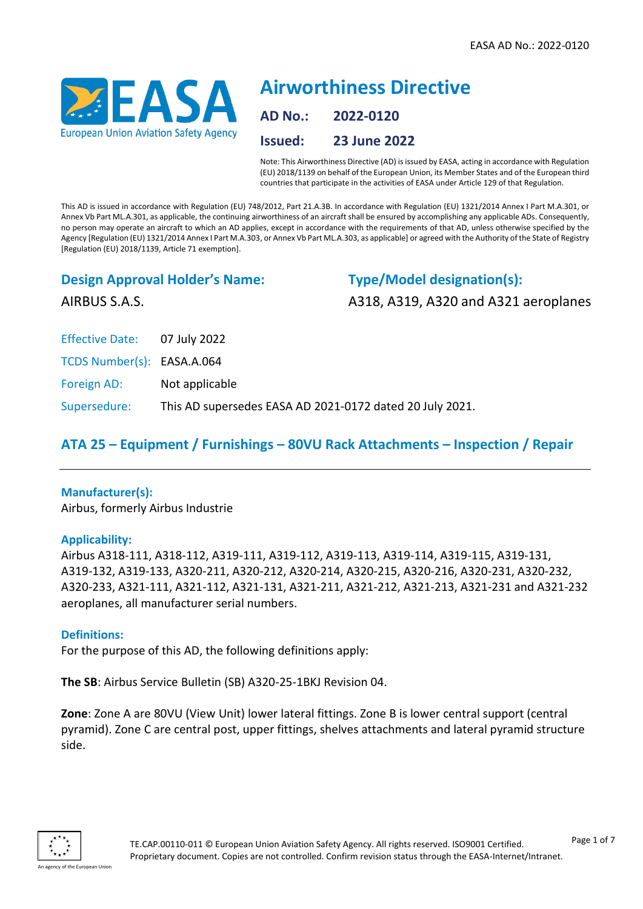

# **Airworthiness Directive AD No.: 2022-0120 Issued: 23 June 2022**

Note: This Airworthiness Directive (AD) is issued by EASA, acting in accordance with Regulation (EU) 2018/1139 on behalf of the European Union, its Member States and of the European third countries that participate in the activities of EASA under Article 129 of that Regulation.

This AD is issued in accordance with Regulation (EU) 748/2012, Part 21.A.3B. In accordance with Regulation (EU) 1321/2014 Annex I Part M.A.301, or Annex Vb Part ML.A.301, as applicable, the continuing airworthiness of an aircraft shall be ensured by accomplishing any applicable ADs. Consequently, no person may operate an aircraft to which an AD applies, except in accordance with the requirements of that AD, unless otherwise specified by the Agency [Regulation (EU) 1321/2014 Annex I Part M.A.303, or Annex Vb Part ML.A.303, as applicable] or agreed with the Authority of the State of Registry [Regulation (EU) 2018/1139, Article 71 exemption].

# **Design Approval Holder's Name:**

**Type/Model designation(s):**

AIRBUS S.A.S.

A318, A319, A320 and A321 aeroplanes

Effective Date: 07 July 2022

TCDS Number(s): EASA.A.064

Foreign AD: Not applicable

Supersedure: This AD supersedes EASA AD 2021-0172 dated 20 July 2021.

# **ATA 25 – Equipment / Furnishings – 80VU Rack Attachments – Inspection / Repair**

#### **Manufacturer(s):**

Airbus, formerly Airbus Industrie

#### **Applicability:**

Airbus A318-111, A318-112, A319-111, A319-112, A319-113, A319-114, A319-115, A319-131, A319-132, A319-133, A320-211, A320-212, A320-214, A320-215, A320-216, A320-231, A320-232, A320-233, A321-111, A321-112, A321-131, A321-211, A321-212, A321-213, A321-231 and A321-232 aeroplanes, all manufacturer serial numbers.

#### **Definitions:**

For the purpose of this AD, the following definitions apply:

**The SB**: Airbus Service Bulletin (SB) A320-25-1BKJ Revision 04.

**Zone**: Zone A are 80VU (View Unit) lower lateral fittings. Zone B is lower central support (central pyramid). Zone C are central post, upper fittings, shelves attachments and lateral pyramid structure side.

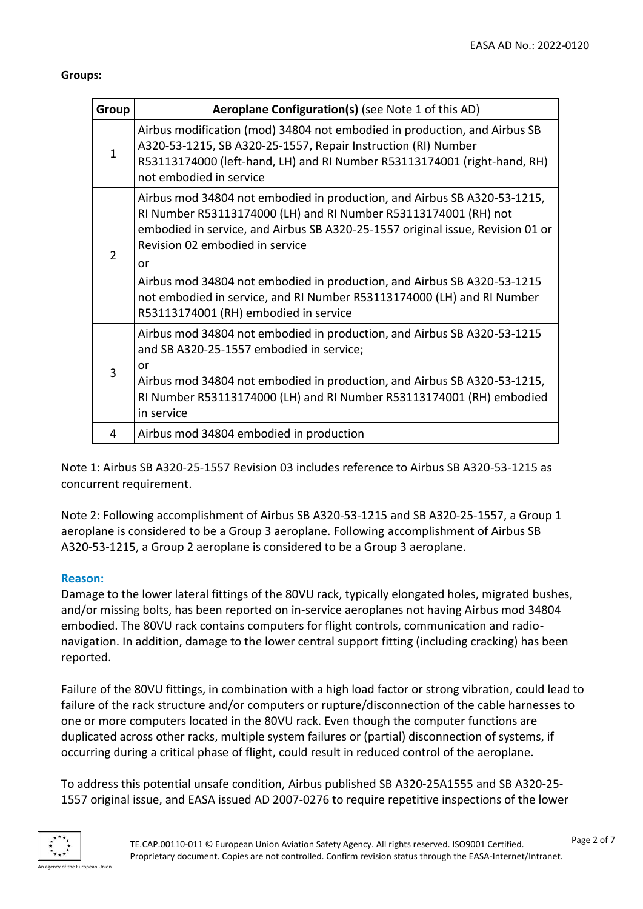#### **Groups:**

| Group        | Aeroplane Configuration(s) (see Note 1 of this AD)                                                                                                                                                                                                                                                                                                                                                                                                                   |
|--------------|----------------------------------------------------------------------------------------------------------------------------------------------------------------------------------------------------------------------------------------------------------------------------------------------------------------------------------------------------------------------------------------------------------------------------------------------------------------------|
| $\mathbf{1}$ | Airbus modification (mod) 34804 not embodied in production, and Airbus SB<br>A320-53-1215, SB A320-25-1557, Repair Instruction (RI) Number<br>R53113174000 (left-hand, LH) and RI Number R53113174001 (right-hand, RH)<br>not embodied in service                                                                                                                                                                                                                    |
| 2            | Airbus mod 34804 not embodied in production, and Airbus SB A320-53-1215,<br>RI Number R53113174000 (LH) and RI Number R53113174001 (RH) not<br>embodied in service, and Airbus SB A320-25-1557 original issue, Revision 01 or<br>Revision 02 embodied in service<br>or<br>Airbus mod 34804 not embodied in production, and Airbus SB A320-53-1215<br>not embodied in service, and RI Number R53113174000 (LH) and RI Number<br>R53113174001 (RH) embodied in service |
| 3            | Airbus mod 34804 not embodied in production, and Airbus SB A320-53-1215<br>and SB A320-25-1557 embodied in service;<br>or<br>Airbus mod 34804 not embodied in production, and Airbus SB A320-53-1215,<br>RI Number R53113174000 (LH) and RI Number R53113174001 (RH) embodied<br>in service                                                                                                                                                                          |
| 4            | Airbus mod 34804 embodied in production                                                                                                                                                                                                                                                                                                                                                                                                                              |

Note 1: Airbus SB A320-25-1557 Revision 03 includes reference to Airbus SB A320-53-1215 as concurrent requirement.

Note 2: Following accomplishment of Airbus SB A320-53-1215 and SB A320-25-1557, a Group 1 aeroplane is considered to be a Group 3 aeroplane. Following accomplishment of Airbus SB A320-53-1215, a Group 2 aeroplane is considered to be a Group 3 aeroplane.

#### **Reason:**

Damage to the lower lateral fittings of the 80VU rack, typically elongated holes, migrated bushes, and/or missing bolts, has been reported on in-service aeroplanes not having Airbus mod 34804 embodied. The 80VU rack contains computers for flight controls, communication and radionavigation. In addition, damage to the lower central support fitting (including cracking) has been reported.

Failure of the 80VU fittings, in combination with a high load factor or strong vibration, could lead to failure of the rack structure and/or computers or rupture/disconnection of the cable harnesses to one or more computers located in the 80VU rack. Even though the computer functions are duplicated across other racks, multiple system failures or (partial) disconnection of systems, if occurring during a critical phase of flight, could result in reduced control of the aeroplane.

To address this potential unsafe condition, Airbus published SB A320-25A1555 and SB A320-25- 1557 original issue, and EASA issued AD 2007-0276 to require repetitive inspections of the lower

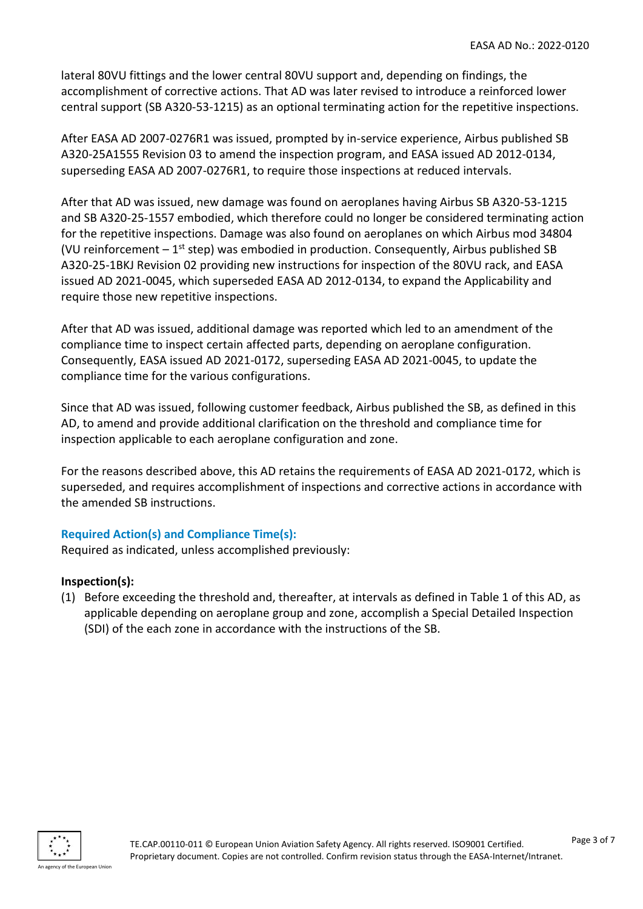lateral 80VU fittings and the lower central 80VU support and, depending on findings, the accomplishment of corrective actions. That AD was later revised to introduce a reinforced lower central support (SB A320-53-1215) as an optional terminating action for the repetitive inspections.

After EASA AD 2007-0276R1 was issued, prompted by in-service experience, Airbus published SB A320-25A1555 Revision 03 to amend the inspection program, and EASA issued AD 2012-0134, superseding EASA AD 2007-0276R1, to require those inspections at reduced intervals.

After that AD was issued, new damage was found on aeroplanes having Airbus SB A320-53-1215 and SB A320-25-1557 embodied, which therefore could no longer be considered terminating action for the repetitive inspections. Damage was also found on aeroplanes on which Airbus mod 34804 (VU reinforcement  $-1^{st}$  step) was embodied in production. Consequently, Airbus published SB A320-25-1BKJ Revision 02 providing new instructions for inspection of the 80VU rack, and EASA issued AD 2021-0045, which superseded EASA AD 2012-0134, to expand the Applicability and require those new repetitive inspections.

After that AD was issued, additional damage was reported which led to an amendment of the compliance time to inspect certain affected parts, depending on aeroplane configuration. Consequently, EASA issued AD 2021-0172, superseding EASA AD 2021-0045, to update the compliance time for the various configurations.

Since that AD was issued, following customer feedback, Airbus published the SB, as defined in this AD, to amend and provide additional clarification on the threshold and compliance time for inspection applicable to each aeroplane configuration and zone.

For the reasons described above, this AD retains the requirements of EASA AD 2021-0172, which is superseded, and requires accomplishment of inspections and corrective actions in accordance with the amended SB instructions.

#### **Required Action(s) and Compliance Time(s):**

Required as indicated, unless accomplished previously:

#### **Inspection(s):**

(1) Before exceeding the threshold and, thereafter, at intervals as defined in Table 1 of this AD, as applicable depending on aeroplane group and zone, accomplish a Special Detailed Inspection (SDI) of the each zone in accordance with the instructions of the SB.

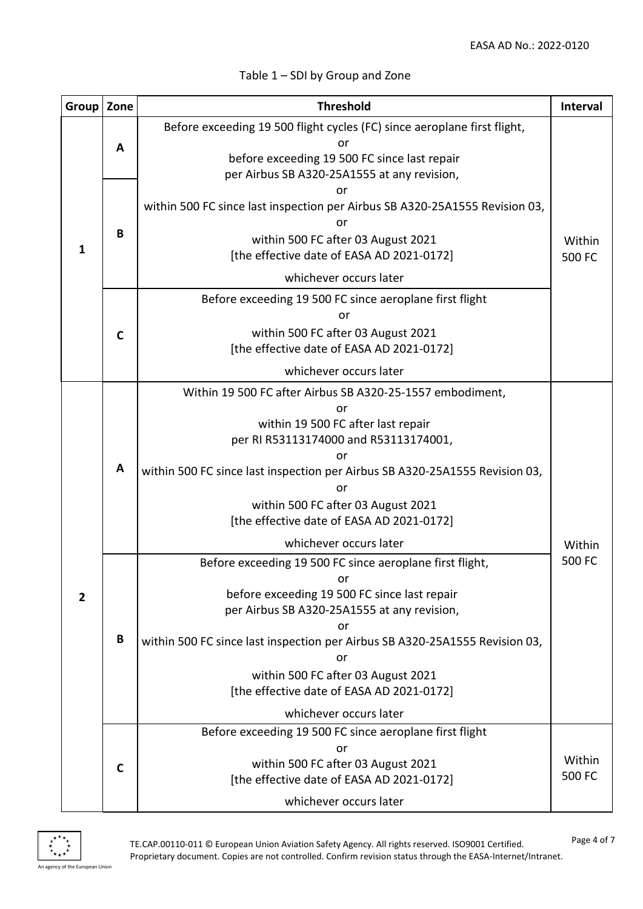| Group          | Zone         | <b>Threshold</b>                                                                                                                                                                                                                                                                                                                                                      | <b>Interval</b>  |
|----------------|--------------|-----------------------------------------------------------------------------------------------------------------------------------------------------------------------------------------------------------------------------------------------------------------------------------------------------------------------------------------------------------------------|------------------|
| $\mathbf{1}$   | A            | Before exceeding 19 500 flight cycles (FC) since aeroplane first flight,<br>or<br>before exceeding 19 500 FC since last repair<br>per Airbus SB A320-25A1555 at any revision,                                                                                                                                                                                         |                  |
|                | B            | or<br>within 500 FC since last inspection per Airbus SB A320-25A1555 Revision 03,<br>or<br>within 500 FC after 03 August 2021<br>[the effective date of EASA AD 2021-0172]<br>whichever occurs later                                                                                                                                                                  | Within<br>500 FC |
|                | $\mathsf{C}$ | Before exceeding 19 500 FC since aeroplane first flight<br>or<br>within 500 FC after 03 August 2021<br>[the effective date of EASA AD 2021-0172]<br>whichever occurs later                                                                                                                                                                                            |                  |
|                | A            | Within 19 500 FC after Airbus SB A320-25-1557 embodiment,<br>or<br>within 19 500 FC after last repair<br>per RI R53113174000 and R53113174001,<br>nr<br>within 500 FC since last inspection per Airbus SB A320-25A1555 Revision 03,<br>or<br>within 500 FC after 03 August 2021<br>[the effective date of EASA AD 2021-0172]<br>whichever occurs later                | Within           |
| $\overline{2}$ | B            | Before exceeding 19 500 FC since aeroplane first flight,<br>or<br>before exceeding 19 500 FC since last repair<br>per Airbus SB A320-25A1555 at any revision,<br>or<br>within 500 FC since last inspection per Airbus SB A320-25A1555 Revision 03,<br>or<br>within 500 FC after 03 August 2021<br>[the effective date of EASA AD 2021-0172]<br>whichever occurs later | 500 FC           |
|                | C            | Before exceeding 19 500 FC since aeroplane first flight<br>or<br>within 500 FC after 03 August 2021<br>[the effective date of EASA AD 2021-0172]<br>whichever occurs later                                                                                                                                                                                            | Within<br>500 FC |

# Table 1 – SDI by Group and Zone



TE.CAP.00110-011 © European Union Aviation Safety Agency. All rights reserved. ISO9001 Certified. Proprietary document. Copies are not controlled. Confirm revision status through the EASA-Internet/Intranet.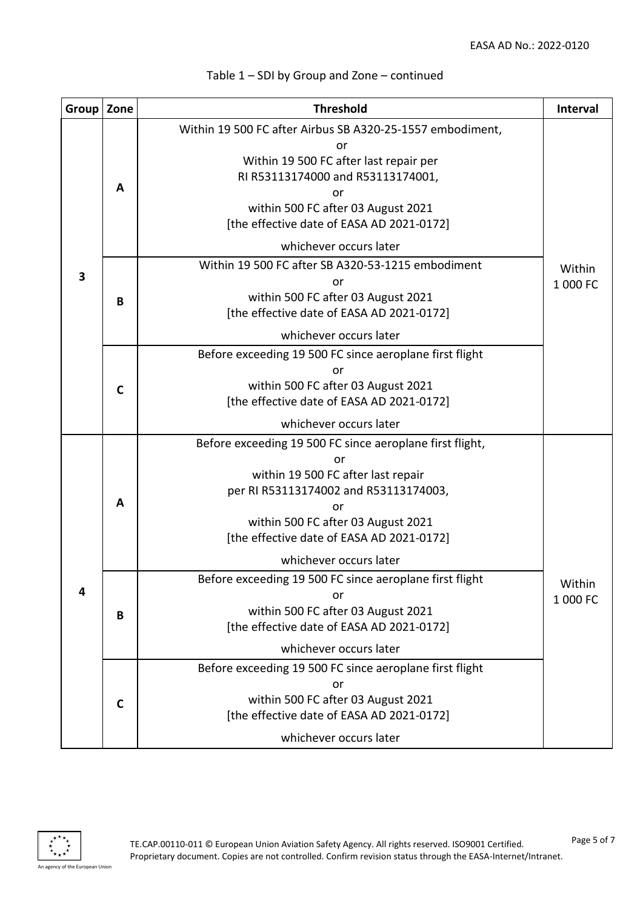| Group   Zone |             | <b>Threshold</b>                                                                                                                                                                                                                                                                                                                  | <b>Interval</b>    |
|--------------|-------------|-----------------------------------------------------------------------------------------------------------------------------------------------------------------------------------------------------------------------------------------------------------------------------------------------------------------------------------|--------------------|
| 3            | A           | Within 19 500 FC after Airbus SB A320-25-1557 embodiment,<br>or<br>Within 19 500 FC after last repair per<br>RI R53113174000 and R53113174001,<br>or<br>within 500 FC after 03 August 2021<br>[the effective date of EASA AD 2021-0172]                                                                                           |                    |
|              |             | whichever occurs later                                                                                                                                                                                                                                                                                                            |                    |
|              | B           | Within 19 500 FC after SB A320-53-1215 embodiment<br>or<br>within 500 FC after 03 August 2021<br>[the effective date of EASA AD 2021-0172]                                                                                                                                                                                        | Within<br>1 000 FC |
|              |             | whichever occurs later                                                                                                                                                                                                                                                                                                            |                    |
|              | $\mathbf c$ | Before exceeding 19 500 FC since aeroplane first flight<br>or<br>within 500 FC after 03 August 2021<br>[the effective date of EASA AD 2021-0172]<br>whichever occurs later                                                                                                                                                        |                    |
| 4            | A           | Before exceeding 19 500 FC since aeroplane first flight,<br>or<br>within 19 500 FC after last repair<br>per RI R53113174002 and R53113174003,<br>or<br>within 500 FC after 03 August 2021<br>[the effective date of EASA AD 2021-0172]<br>whichever occurs later<br>Before exceeding 19 500 FC since aeroplane first flight<br>or | Within             |
|              | B           | within 500 FC after 03 August 2021<br>[the effective date of EASA AD 2021-0172]<br>whichever occurs later                                                                                                                                                                                                                         | 1 000 FC           |
|              | $\mathbf C$ | Before exceeding 19 500 FC since aeroplane first flight<br>or<br>within 500 FC after 03 August 2021<br>[the effective date of EASA AD 2021-0172]<br>whichever occurs later                                                                                                                                                        |                    |

# Table 1 – SDI by Group and Zone – continued

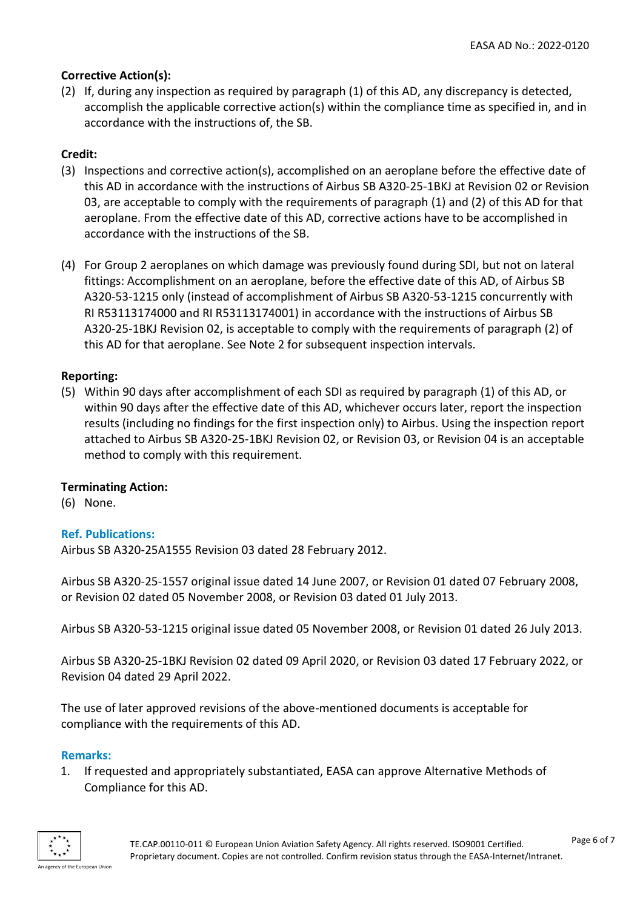### **Corrective Action(s):**

(2) If, during any inspection as required by paragraph (1) of this AD, any discrepancy is detected, accomplish the applicable corrective action(s) within the compliance time as specified in, and in accordance with the instructions of, the SB.

# **Credit:**

- (3) Inspections and corrective action(s), accomplished on an aeroplane before the effective date of this AD in accordance with the instructions of Airbus SB A320-25-1BKJ at Revision 02 or Revision 03, are acceptable to comply with the requirements of paragraph (1) and (2) of this AD for that aeroplane. From the effective date of this AD, corrective actions have to be accomplished in accordance with the instructions of the SB.
- (4) For Group 2 aeroplanes on which damage was previously found during SDI, but not on lateral fittings: Accomplishment on an aeroplane, before the effective date of this AD, of Airbus SB A320-53-1215 only (instead of accomplishment of Airbus SB A320-53-1215 concurrently with RI R53113174000 and RI R53113174001) in accordance with the instructions of Airbus SB A320-25-1BKJ Revision 02, is acceptable to comply with the requirements of paragraph (2) of this AD for that aeroplane. See Note 2 for subsequent inspection intervals.

# **Reporting:**

(5) Within 90 days after accomplishment of each SDI as required by paragraph (1) of this AD, or within 90 days after the effective date of this AD, whichever occurs later, report the inspection results (including no findings for the first inspection only) to Airbus. Using the inspection report attached to Airbus SB A320-25-1BKJ Revision 02, or Revision 03, or Revision 04 is an acceptable method to comply with this requirement.

#### **Terminating Action:**

(6) None.

#### **Ref. Publications:**

Airbus SB A320-25A1555 Revision 03 dated 28 February 2012.

Airbus SB A320-25-1557 original issue dated 14 June 2007, or Revision 01 dated 07 February 2008, or Revision 02 dated 05 November 2008, or Revision 03 dated 01 July 2013.

Airbus SB A320-53-1215 original issue dated 05 November 2008, or Revision 01 dated 26 July 2013.

Airbus SB A320-25-1BKJ Revision 02 dated 09 April 2020, or Revision 03 dated 17 February 2022, or Revision 04 dated 29 April 2022.

The use of later approved revisions of the above-mentioned documents is acceptable for compliance with the requirements of this AD.

#### **Remarks:**

1. If requested and appropriately substantiated, EASA can approve Alternative Methods of Compliance for this AD.